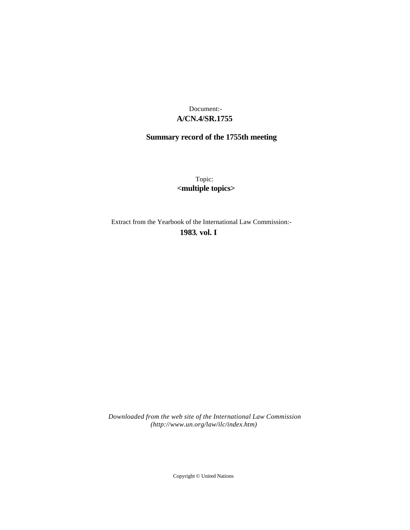# **A/CN.4/SR.1755** Document:-

# **Summary record of the 1755th meeting**

Topic: **<multiple topics>**

Extract from the Yearbook of the International Law Commission:-

**1983** , **vol. I**

*Downloaded from the web site of the International Law Commission (http://www.un.org/law/ilc/index.htm)*

Copyright © United Nations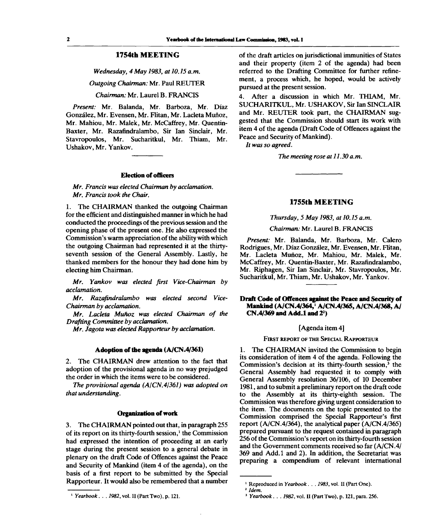# **1754th MEETING**

*Wednesday, 4 May 1983, at 10.15 a.m.*

*Outgoing Chairman:* Mr. Paul REUTER

#### *Chairman:* Mr. Laurel B. FRANCIS

*Present:* Mr. Balanda, Mr. Barboza, Mr. Diaz Gonzalez, Mr. Evensen, Mr. Flitan, Mr. Lacleta Munoz, Mr. Mahiou, Mr. Malek, Mr. McCaffrey, Mr. Quentin-Baxter, Mr. Razafindralambo, Sir Ian Sinclair, Mr. Stavropoulos, Mr. Sucharitkul, Mr. Thiam, Mr. Ushakov, Mr. Yankov.

#### **Election of officers**

# *Mr. Francis was elected Chairman by acclamation. Mr. Francis took the Chair.*

1. The CHAIRMAN thanked the outgoing Chairman for the efficient and distinguished manner in which he had conducted the proceedings of the previous session and the opening phase of the present one. He also expressed the Commission's warm appreciation of the ability with which the outgoing Chairman had represented it at the thirtyseventh session of the General Assembly. Lastly, he thanked members for the honour they had done him by electing him Chairman.

*Mr. Yankov was elected first Vice-Chairman by acclamation.*

*Mr. Razafindralambo was elected second Vice-Chairman by acclamation.*

*Mr. Lacleta Munoz was elected Chairman of the Drafting Committee by acclamation.*

*Mr. Jagota was elected Rapporteur by acclamation.*

# **Adoption of the agenda (A/CN.4/361)**

2. The CHAIRMAN drew attention to the fact that adoption of the provisional agenda in no way prejudged the order in which the items were to be considered.

*The provisional agenda (A/CN.4/361) was adopted on that understanding.*

#### **Organization of work**

3. The CHAIRMAN pointed out that, in paragraph 255 of its report on its thirty-fourth session,<sup>1</sup> the Commission had expressed the intention of proceeding at an early stage during the present session to a general debate in plenary on the draft Code of Offences against the Peace and Security of Mankind (item 4 of the agenda), on the basis of a first report to be submitted by the Special Rapporteur. It would also be remembered that a number

*Yearbook. . . 1982,* vol. II (Part Two), p. 121.

of the draft articles on jurisdictional immunities of States and their property (item 2 of the agenda) had been referred to the Drafting Committee for further refinement, a process which, he hoped, would be actively pursued at the present session.

4. After a discussion in which Mr. THIAM, Mr. SUCHARITKUL, Mr. USHAKOV, Sir Ian SINCLAIR and Mr. REUTER took part, the CHAIRMAN suggested that the Commission should start its work with item 4 of the agenda (Draft Code of Offences against the Peace and Security of Mankind).

// *was so agreed.*

*The meeting rose at 11.30 a.m.*

## **1755th MEETING**

#### *Thursday, 5 May 1983, at 10.15 a.m.*

# *Chairman:* Mr. Laurel B. FRANCIS

*Present:* Mr. Balanda, Mr. Barboza, Mr. Calero Rodrigues, Mr. Diaz Gonzalez, Mr. Evensen, Mr. Flitan, Mr. Lacleta Munoz, Mr. Mahiou, Mr. Malek, Mr. McCaffrey, Mr. Quentin-Baxter, Mr. Razafindralambo, Mr. Riphagen, Sir Ian Sinclair, Mr. Stavropoulos, Mr. Sucharitkul, Mr. Thiam, Mr. Ushakov, Mr. Yankov.

## **Draft Code of Offences against the Peace and Security of Mankind (A/CN.4/364,<sup>1</sup> A/CN.4/365, A/CN.4/368, A/ CN.4/369 and Add.l and 2<sup>2</sup> )**

# [Agenda item 4]

#### FIRST REPORT OF THE SPECIAL RAPPORTEUR

1. The CHAIRMAN invited the Commission to begin its consideration of item 4 of the agenda. Following the Commission's decision at its thirty-fourth session, $\frac{3}{2}$  the General Assembly had requested it to comply with General Assembly resolution 36/106, of 10 December 1981, and to submit a preliminary report on the draft code to the Assembly at its thirty-eighth session. The Commission was therefore giving urgent consideration to the item. The documents on the topic presented to the Commission comprised the Special Rapporteur's first report (A/CN.4/364), the analytical paper (A/CN.4/365) prepared pursuant to the request contained in paragraph 256 of the Commission's report on its thirty-fourth session and the Government comments received so far (A/CN.4/ 369 and Add.l and 2). In addition, the Secretariat was preparing a compendium of relevant international

<sup>&</sup>lt;sup>1</sup> Reproduced in Yearbook . . . 1983, vol. II (Part One).

<sup>2</sup>  *Idem.*

*<sup>3</sup> Yearbook. . . 1982,* vol. II (Part Two), p. 121, para. 256.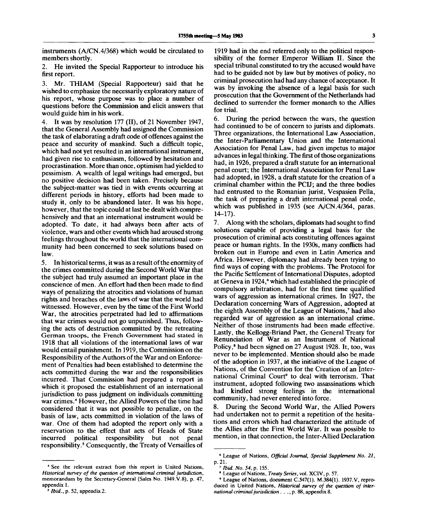instruments (A/CN.4/368) which would be circulated to members shortly.

2. He invited the Special Rapporteur to introduce his first report.

3. Mr. THIAM (Special Rapporteur) said that he wished to emphasize the necessarily exploratory nature of his report, whose purpose was to place a number of questions before the Commission and elicit answers that would guide him in his work.

4. It was by resolution 177 (II), of 21 November 1947, that the General Assembly had assigned the Commission the task of elaborating a draft code of offences against the peace and security of mankind. Such a difficult topic, which had not yet resulted in an international instrument, had given rise to enthusiasm, followed by hesitation and procrastination. More than once, optimism had yielded to pessimism. A wealth of legal writings had emerged, but no positive decision had been taken. Precisely because the subject-matter was tied in with events occurring at different periods in history, efforts had been made to study it, only to be abandoned later. It was his hope, however, that the topic could at last be dealt with comprehensively and that an international instrument would be adopted. To date, it had always been after acts of violence, wars and other events which had aroused strong feelings throughout the world that the international community had been concerned to seek solutions based on law.

5. In historical terms, it was as a result of the enormity of the crimes committed during the Second World War that the subject had truly assumed an important place in the conscience of men. An effort had then been made to find ways of penalizing the atrocities and violations of human rights and breaches of the laws of war that the world had witnessed. However, even by the time of the First World War, the atrocities perpetrated had led to affirmations that war crimes would not go unpunished. Thus, following the acts of destruction committed by the retreating German troops, the French Government had stated in 1918 that all violations of the international laws of war would entail punishment. In 1919, the Commission on the Responsibility of the Authors of the War and on Enforcement of Penalties had been established to determine the acts committed during the war and the responsibilities incurred. That Commission had prepared a report in which it proposed the establishment of an international jurisdiction to pass judgment on individuals committing war crimes.<sup>4</sup> However, the Allied Powers of the time had considered that it was not possible to penalize, on the basis of law, acts committed in violation of the laws of war. One of them had adopted the report only with a reservation to the effect that acts of Heads of State incurred political responsibility but not penal mearred pontical responsionity out not penal<br>responsibility.<sup>5</sup> Consequently, the Treaty of Versailles of

4 See the relevant extract from this report in United Nations, *Historical survey of the question of international criminal jurisdiction,* memorandum by the Secretary-General (Sales No. 1949.V.8), p. 47, appendix 1.<br>5 Hid

1919 had in the end referred only to the political responsibility of the former Emperor William II. Since the special tribunal constituted to try the accused would have had to be guided not by law but by motives of policy, no criminal prosecution had had any chance of acceptance. It was by invoking the absence of a legal basis for such prosecution that the Government of the Netherlands had declined to surrender the former monarch to the Allies for trial.

6. During the period between the wars, the question had continued to be of concern to jurists and diplomats. Three organizations, the International Law Association, the Inter-Parliamentary Union and the International Association for Penal Law, had given impetus to major advances in legal thinking. The first of those organizations had, in 1926, prepared a draft statute for an international penal court; the International Association for Penal Law had adopted, in 1928, a draft statute for the creation of a criminal chamber within the PCIJ; and the three bodies had entrusted to the Romanian jurist, Vespasien Pella, the task of preparing a draft international penal code, which was published in 1935 (see A/CN.4/364, paras. 14-17).

7. Along with the scholars, diplomats had sought to find solutions capable of providing a legal basis for the prosecution of criminal acts constituting offences against peace or human rights. In the 1930s, many conflicts had broken out in Europe and even in Latin America and Africa. However, diplomacy had already been trying to find ways of coping with the problems. The Protocol for the Pacific Settlement of International Disputes, adopted at Geneva in  $1924$ ,  $\epsilon$  which had established the principle of compulsory arbitration, had for the first time qualified wars of aggression as international crimes. In 1927, the Declaration concerning Wars of Aggression, adopted at the eighth Assembly of the League of Nations,<sup>7</sup> had also regarded war of aggression as an international crime. Neither of those instruments had been made effective. Lastly, the Kellogg-Briand Pact, the General Treaty for Renunciation of War as an Instrument of National Policy,<sup>8</sup> had been signed on 27 August 1928. It, too, was never to be implemented. Mention should also be made of the adoption in 1937, at the initiative of the League of Nations, of the Convention for the Creation of an International Criminal Court<sup>9</sup> to deal with terrorism. That instrument, adopted following two assassinations which had kindled strong feelings in the international community, had never entered into force.

8. During the Second World War, the Allied Powers had undertaken not to permit a repetition of the hesitations and errors which had characterized the attitude of the Allies after the First World War. It was possible to mention, in that connection, the Inter-Allied Declaration

*Ibid.*, p. 52, appendix 2.

<sup>6</sup> League of Nations, *Official Journal, Special Supplement No. 21,* p. 21.

<sup>7</sup>  *Ibid. No. 54,* p. 155.

<sup>8</sup> League of Nations, *Treaty Series,* vol. XCIV, p. 57.

<sup>9</sup> League of Nations, document C.547(l). M.384(l). 1937.V, reproduced in United Nations, *Historical survey of the question of international criminal jurisdiction. .* ., p. 88, appendix 8.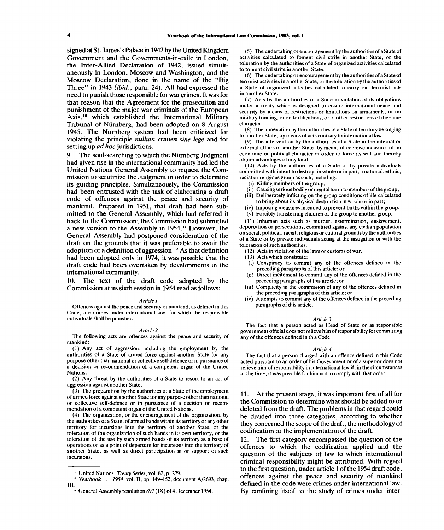signed at St. James's Palace in 1942 by the United Kingdom Government and the Governments-in-exile in London, the Inter-Allied Declaration of 1942, issued simultaneously in London, Moscow and Washington, and the Moscow Declaration, done in the name of the "Big Three" in 1943 *(ibid.,* para. 24). All had expressed the need to punish those responsible for war crimes. It was for that reason that the Agreement for the prosecution and punishment of the major war criminals of the European Axis,<sup>10</sup> which established the International Military Tribunal of Nurnberg, had been adopted on 8 August 1945. The Nurnberg system had been criticized for violating the principle *nullum crimen sine lege* and for setting up *ad hoc* jurisdictions.

The soul-searching to which the Nürnberg Judgment had given rise in the international community had led the United Nations General Assembly to request the Commission to scrutinize the Judgment in order to determine its guiding principles. Simultaneously, the Commission had been entrusted with the task of elaborating a draft code of offences against the peace and security of mankind. Prepared in 1951, that draft had been submitted to the General Assembly, which had referred it back to the Commission; the Commission had submitted a new version to the Assembly in 1954." However, the General Assembly had postponed consideration of the draft on the grounds that it was preferable to await the adoption of a definition of aggression.<sup>12</sup> As that definition had been adopted only in 1974, it was possible that the draft code had been overtaken by developments in the international community.

10. The text of the draft code adopted by the Commission at its sixth session in 1954 read as follows:

#### *Article 1*

Offences against the peace and security of mankind, as defined in this Code, are crimes under international law, for which the responsible individuals shall be punished.

#### *Article 2*

The following acts are offences against the peace and security of mankind:

(1) Any act of aggression, including the employment by the authorities of a State of armed force against another State for any purpose other than national or collective self-defence or in pursuance of a decision or recommendation of a competent organ of the United Nations.

(2) Any threat by the authorities of a State to resort to an act of aggression against another State.

(3) The preparation by the authorities of a State of the employment of armed force against another State for any purpose other than national or collective self-defence or in pursuance of a decision or recommendation of a competent organ of the United Nations.

(4) The organization, or the encouragement of the organization, by the authorities of a State, of armed bands within its territory or any other territory for incursions into the territory of another State, or the toleration of the organization of such bands in its own territory, or the toleration of the use by such armed bands of its territory as a base of operations or as a point of departure for incursions into the territory of another State, as well as direct participation in or support of such incursions.

(5) The undertaking or encouragement by the authorities of a State of activities calculated to foment civil strife in another State, or the toleration by the authorities of a State of organized activities calculated to foment civil strife in another State.

(6) The undertaking or encouragement by the authorities of a State of terrorist activities in another State, or the toleration by the authorities of a State of organized activities calculated to carry out terrorist acts in another State.

(7) Acts by the authorities of a State in violation of its obligations under a treaty which is designed to ensure international peace and security by means of restrictions or limitations on armaments, or on military training, or on fortifications, or of other restrictions of the same character.

(8) The annexation by the authorities of a State of territory belonging to another State, by means of acts contrary to international law.

(9) The intervention by the authorities of a State in the internal or external affairs of another State, by means of coercive measures of an economic or political character in order to force its will and thereby obtain advantages of any kind.

(10) Acts by the authorities of a State or by private individuals committed with intent to destroy, in whole or in part, a national, ethnic, racial or religious group as such, including:

- (i) Killing members of the group;
- (ii) Causing serious bodily or mental harm to members of the group;
- (iii) Deliberately inflicting on the group conditions of life calculated to bring about its physical destruction in whole or in part;
- (iv) Imposing measures intended to prevent births within the group;
- (v) Forcibly transferring children of the group to another group.

(11) Inhuman acts such as murder, extermination, enslavement, deportation or persecutions, committed against any civilian population on social, political, racial, religious or cultural grounds by the authorities of a State or by private individuals acting at the instigation or with the toleration of such authorities.

- (12) Acts in violation of the laws or customs of war.
- (13) Acts which constitute:
- (i) Conspiracy to commit any of the offences defined in the preceding paragraphs of this article; or
- (ii) Direct incitement to commit any of the offences defined in the preceding paragraphs of this article; or
- (iii) Complicity in the commission of any of the offences defined in the preceding paragraphs of this article; or
- (iv) Attempts to commit any of the offences defined in the preceding paragraphs of this article.

#### *Article 3*

The fact that a person acted as Head of State or as responsible government official does not relieve him of responsibility for committing any of the offences defined in this Code.

#### *Article 4*

The fact that a person charged with an offence defined in this Code acted pursuant to an order of his Government or of a superior does not relieve him of responsibility in international law if, in the circumstances at the time, it was possible for him not to comply with that order.

11. At the present stage, it was important first of all for the Commission to determine what should be added to or deleted from the draft. The problems in that regard could be divided into three categories, according to whether they concerned the scope of the draft, the methodology of codification or the implementation of the draft.

12. The first category encompassed the question of the offences to which the codification applied and the question of the subjects of law to which international criminal responsibility might be attributed. With regard to the first question, under article 1 of the 1954 draft code, offences against the peace and security of mankind defined in the code were crimes under international law. By confining itself to the study of crimes under inter-

<sup>10</sup> United Nations, *Treaty Series,* vol. 82, p. 279.

<sup>&</sup>lt;sup>11</sup> *Yearbook . . . 1954*, vol. II, pp. 149–152, document A/2693, chap. III.

<sup>&</sup>lt;sup>12</sup> General Assembly resolution 897 (IX) of 4 December 1954.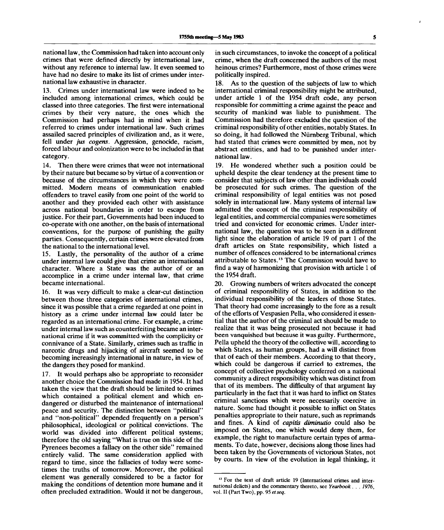national law, the Commission had taken into account only crimes that were defined directly by international law, without any reference to internal law. It even seemed to have had no desire to make its list of crimes under international law exhaustive in character.

13. Crimes under international law were indeed to be included among international crimes, which could be classed into three categories. The first were international crimes by their very nature, the ones which the Commission had perhaps had in mind when it had referred to crimes under international law. Such crimes assailed sacred principles of civilization and, as it were, fell under *jus cogens.* Aggression, genocide, racism, forced labour and colonization were to be included in that category.

14. Then there were crimes that were not international by their nature but became so by virtue of a convention or because of the circumstances in which they were committed. Modern means of communication enabled offenders to travel easily from one point of the world to another and they provided each other with assistance across national boundaries in order to escape from justice. For their part, Governments had been induced to co-operate with one another, on the basis of international conventions, for the purpose of punishing the guilty parties. Consequently, certain crimes were elevated from the national to the international level.

15. Lastly, the personality of the author of a crime under internal law could give that crime an international character. Where a State was the author of or an accomplice in a crime under internal law, that crime became international.

16. It was very difficult to make a clear-cut distinction between those three categories of international crimes, since it was possible that a crime regarded at one point in history as a crime under internal law could later be regarded as an international crime. For example, a crime under internal law such as counterfeiting became an international crime if it was committed with the complicity or connivance of a State. Similarly, crimes such as traffic in narcotic drugs and hijacking of aircraft seemed to be becoming increasingly international in nature, in view of the dangers they posed for mankind.

17. It would perhaps also be appropriate to reconsider another choice the Commission had made in 1954. It had taken the view that the draft should be limited to crimes which contained a political element and which endangered or disturbed the maintenance of international peace and security. The distinction between "political" and "non-political" depended frequently on a person's philosophical, ideological or political convictions. The world was divided into different political systems; therefore the old saying "What is true on this side of the Pyrenees becomes a fallacy on the other side" remained entirely valid. The same consideration applied with regard to time, since the fallacies of today were sometimes the truths of tomorrow. Moreover, the political element was generally considered to be a factor for making the conditions of detention more humane and it often precluded extradition. Would it not be dangerous,

in such circumstances, to invoke the concept of a political crime, when the draft concerned the authors of the most heinous crimes? Furthermore, most of those crimes were politically inspired.

18. As to the question of the subjects of law to which international criminal responsibility might be attributed, under article 1 of the 1954 draft code, any person responsible for committing a crime against the peace and security of mankind was liable to punishment. The Commission had therefore excluded the question of the criminal responsibility of other entities, notably States. In so doing, it had followed the Nürnberg Tribunal, which had stated that crimes were committed by men, not by abstract entities, and had to be punished under international law.

19. He wondered whether such a position could be upheld despite the clear tendency at the present time to consider that subjects of law other than individuals could be prosecuted for such crimes. The question of the criminal responsibility of legal entities was not posed solely in international law. Many systems of internal law admitted the concept of the criminal responsibility of legal entities, and commercial companies were sometimes tried and convicted for economic crimes. Under international law, the question was to be seen in a different light since the elaboration of article 19 of part 1 of the draft articles on State responsibility, which listed a number of offences considered to be international crimes attributable to States.<sup>13</sup> The Commission would have to find a way of harmonizing that provision with article 1 of the 1954 draft.

20. Growing numbers of writers advocated the concept of criminal responsibility of States, in addition to the individual responsibility of the leaders of those States. That theory had come increasingly to the fore as a result of the efforts of Vespasien Pella, who considered it essential that the author of the criminal act should be made to realize that it was being prosecuted not because it had been vanquished but because it was guilty. Furthermore, Pella upheld the theory of the collective will, according to which States, as human groups, had a will distinct from that of each of their members. According to that theory, which could be dangerous if carried to extremes, the concept of collective psychology conferred on a national community a direct responsibility which was distinct from that of its members. The difficulty of that argument lay particularly in the fact that it was hard to inflict on States criminal sanctions which were necessarily coercive in nature. Some had thought it possible to inflict on States penalties appropriate to their nature, such as reprimands and fines. A kind of *capitis diminutio* could also be imposed on States, one which would deny them, for example, the right to manufacture certain types of armaments. To date, however, decisions along those lines had been taken by the Governments of victorious States, not by courts. In view of the evolution in legal thinking, it

<sup>&</sup>lt;sup>13</sup> For the text of draft article 19 (International crimes and international delicts) and the commentary thereto, see *Yearbook . . . 1976,* vol. II (Part Two), pp. 95 et seq.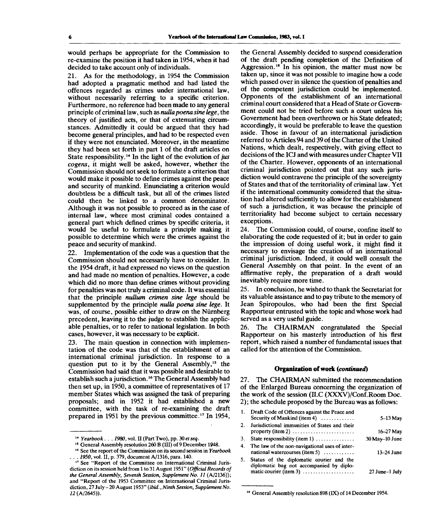would perhaps be appropriate for the Commission to re-examine the position it had taken in 1954, when it had decided to take account only of individuals.

21. As for the methodology, in 1954 the Commission had adopted a pragmatic method and had listed the offences regarded as crimes under international law, without necessarily referring to a specific criterion. Furthermore, no reference had been made to any general principle of criminal law, such as *nullapoena sine lege,* the theory of justified acts, or that of extenuating circumstances. Admittedly it could be argued that they had become general principles, and had to be respected even if they were not enunciated. Moreover, in the meantime they had been set forth in part 1 of the draft articles on State responsibility.<sup>14</sup> In the light of the evolution of *jus cogens,* it might well be asked, however, whether the Commission should not seek to formulate a criterion that would make it possible to define crimes against the peace and security of mankind. Enunciating a criterion would doubtless be a difficult task, but all of the crimes listed could then be linked to a common denominator. Although it was not possible to proceed as in the case of internal law, where most criminal codes contained a general part which defined crimes by specific criteria, it would be useful to formulate a principle making it possible to determine which were the crimes against the peace and security of mankind.

22. Implementation of the code was a question that the Commission should not necessarily have to consider. In the 1954 draft, it had expressed no views on the question and had made no mention of penalties. However, a code which did no more than define crimes without providing for penalties was not truly a criminal code. It was essential that the principle *nullum crimen sine lege* should be supplemented by the principle *nulla poena sine lege.* It was, of course, possible either to draw on the Nürnberg precedent, leaving it to the judge to establish the applicable penalties, or to refer to national legislation. In both cases, however, it was necessary to be explicit.

23. The main question in connection with implementation of the code was that of the establishment of an international criminal jurisdiction. In response to a question put to it by the General Assembly,<sup>15</sup> the Commission had said that it was possible and desirable to establish such a jurisdiction.<sup>16</sup> The General Assembly had then set up, in 1950, a committee of representatives of 17 member States which was assigned the task of preparing proposals; and in 1952 it had established a new committee, with the task of re-examining the draft prepared in 1951 by the previous committee.<sup>17</sup> In 1954,

the General Assembly decided to suspend consideration of the draft pending completion of the Definition of Aggression.<sup>18</sup> In his opinion, the matter must now be taken up, since it was not possible to imagine how a code which passed over in silence the question of penalties and of the competent jurisdiction could be implemented. Opponents of the establishment of an international criminal court considered that a Head of State or Government could not be tried before such a court unless his Government had been overthrown or his State defeated; accordingly, it would be preferable to leave the question aside. Those in favour of an international jurisdiction referred to Articles 94 and 39 of the Charter of the United Nations, which dealt, respectively, with giving effect to decisions of the ICJ and with measures under Chapter VII of the Charter. However, opponents of an international criminal jurisdiction pointed out that any such jurisdiction would contravene the principle of the sovereignty of States and that of the territoriality of criminal law. Yet if the international community considered that the situation had altered sufficiently to allow for the establishment of such a jurisdiction, it was because the principle of territoriality had become subject to certain necessary exceptions.

24. The Commission could, of course, confine itself to elaborating the code requested of it; but in order to gain the impression of doing useful work, it might find it necessary to envisage the creation of an international criminal jurisdiction. Indeed, it could well consult the General Assembly on that point. In the event of an affirmative reply, the preparation of a draft would inevitably require more time.

25. In conclusion, he wished to thank the Secretariat for its valuable assistance and to pay tribute to the memory of Jean Spiropoulos, who had been the first Special Rapporteur entrusted with the topic and whose work had served as a very useful guide.

26. The CHAIRMAN congratulated the Special Rapporteur on his masterly introduction of his first report, which raised a number of fundamental issues that called for the attention of the Commission.

# **Organization of work** *{continued)*

27. The CHAIRMAN submitted the recommendation of the Enlarged Bureau concerning the organization of the work of the session (ILC (XXXV)/Conf.Room Doc. 2); the schedule proposed by the Bureau was as follows:

|    | 1. Draft Code of Offences against the Peace and<br>Security of Mankind (item 4)                                   | $5-13$ May          |
|----|-------------------------------------------------------------------------------------------------------------------|---------------------|
|    | 2. Jurisdictional immunities of States and their<br>property (item 2) $\dots \dots \dots \dots \dots \dots \dots$ | 16-27 May           |
|    | 3. State responsibility (item 1)                                                                                  | $30$ May $-10$ June |
|    | 4. The law of the non-navigational uses of inter-<br>national watercourses (item 5) $\ldots$                      | $13-24$ June        |
| 5. | Status of the diplomatic courier and the<br>diplomatic bag not accompanied by diplo-                              |                     |
|    | matic courier (item 3)                                                                                            | 27 June-1 July      |

<sup>&</sup>lt;sup>18</sup> General Assembly resolution 898 (IX) of 14 December 1954.

<sup>14</sup>  *Yearbook. . . 1980,* vol. II (Part Two), pp. 30 *etseq.*

<sup>&</sup>lt;sup>15</sup> General Assembly resolution 260 B (III) of 9 December 1948.

<sup>16</sup> See the report of the Commission on its second session in *Yearbook . .* . *1950,* vol. II, p. 379, document A/1316, para. 140.

<sup>17</sup> See "Report of the Committee on International Criminal Jurisdiction on its session held from 1 to 31 August 1951" *(Official Records of the General Assembly, Seventh Session, Supplement No. 11* (A/2136)); and "Report of the 1953 Committee on International Criminal Jurisdiction, 27 July - 20 August 1953" *(ibid., Ninth Session, Supplement No. 12* (A/2645)).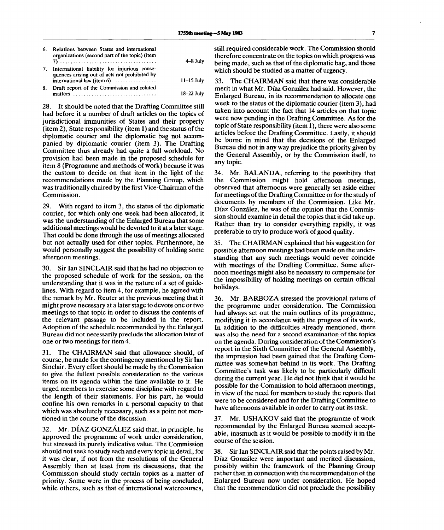| 6. | Relations between States and international<br>organizations (second part of the topic) (item                                           | $4 - 8$ July   |
|----|----------------------------------------------------------------------------------------------------------------------------------------|----------------|
| 7. | International liability for injurious conse-<br>quences arising out of acts not prohibited by<br>international law (item $6$ ) $\dots$ | $11 - 15$ July |
| 8. | Draft report of the Commission and related<br>matters                                                                                  | 18-22 July     |

28. It should be noted that the Drafting Committee still had before it a number of draft articles on the topics of jurisdictional immunities of States and their property (item 2), State responsibility (item 1) and the status of the diplomatic courier and the diplomatic bag not accompanied by diplomatic courier (item 3). The Drafting Committee thus already had quite a full workload. No provision had been made in the proposed schedule for item 8 (Programme and methods of work) because it was the custom to decide on that item in the light of the recommendations made by the Planning Group, which was traditionally chaired by the first Vice-Chairman of the Commission.

29. With regard to item 3, the status of the diplomatic courier, for which only one week had been allocated, it was the understanding of the Enlarged Bureau that some additional meetings would be devoted to it at a later stage. That could be done through the use of meetings allocated but not actually used for other topics. Furthermore, he would personally suggest the possibility of holding some afternoon meetings.

30. Sir Ian SINCLAIR said that he had no objection to the proposed schedule of work for the session, on the understanding that it was in the nature of a set of guidelines. With regard to item 4, for example, he agreed with the remark by Mr. Reuter at the previous meeting that it might prove necessary at a later stage to devote one or two meetings to that topic in order to discuss the contents of the relevant passage to be included in the report. Adoption of the schedule recommended by the Enlarged Bureau did not necessarily preclude the allocation later of one or two meetings for item 4.

31. The CHAIRMAN said that allowance should, of course, be made for the contingency mentioned by Sir Ian Sinclair. Every effort should be made by the Commission to give the fullest possible consideration to the various items on its agenda within the time available to it. He urged members to exercise some discipline with regard to the length of their statements. For his part, he would confine his own remarks in a personal capacity to that which was absolutely necessary, such as a point not mentioned in the course of the discussion.

32. Mr. DIAZ GONZALEZ said that, in principle, he approved the programme of work under consideration, but stressed its purely indicative value. The Commission should not seek to study each and every topic in detail, for it was clear, if not from the resolutions of the General Assembly then at least from its discussions, that the Commission should study certain topics as a matter of priority. Some were in the process of being concluded, while others, such as that of international watercourses,

still required considerable work. The Commission should therefore concentrate on the topics on which progress was being made, such as that of the diplomatic bag, and those which should be studied as a matter of urgency.

33. The CHAIRMAN said that there was considerable merit in what Mr. Diaz Gonzalez had said. However, the Enlarged Bureau, in its recommendation to allocate one week to the status of the diplomatic courier (item 3), had taken into account the fact that 14 articles on that topic were now pending in the Drafting Committee. As for the topic of State responsibility (item 1), there were also some articles before the Drafting Committee. Lastly, it should be borne in mind that the decisions of the Enlarged Bureau did not in any way prejudice the priority given by the General Assembly, or by the Commission itself, to any topic.

34. Mr. BALANDA, referring to the possibility that the Commission might hold afternoon meetings, observed that afternoons were generally set aside either for meetings of the Drafting Committee or for the study of documents by members of the Commission. Like Mr. Diaz Gonzalez, he was of the opinion that the Commission should examine in detail the topics that it did take up. Rather than try to consider everything rapidly, it was preferable to try to produce work of good quality.

35. The CHAIRMAN explained that his suggestion for possible afternoon meetings had been made on the understanding that any such meetings would never coincide with meetings of the Drafting Committee. Some afternoon meetings might also be necessary to compensate for the impossibility of holding meetings on certain official holidays.

36. Mr. BARBOZA stressed the provisional nature of the programme under consideration. The Commission had always set out the main outlines of its programme, modifying it in accordance with the progress of its work. In addition to the difficulties already mentioned, there was also the need for a second examination of the topics on the agenda. During consideration of the Commission's report in the Sixth Committee of the General Assembly, the impression had been gained that the Drafting Committee was somewhat behind in its work. The Drafting Committee's task was likely to be particularly difficult during the current year. He did not think that it would be possible for the Commission to hold afternoon meetings, in view of the need for members to study the reports that were to be considered and for the Drafting Committee to have afternoons available in order to carry out its task.

37. Mr. USHAKOV said that the programme of work recommended by the Enlarged Bureau seemed acceptable, inasmuch as it would be possible to modify it in the course of the session.

38. Sir Ian SINCLAIR said that the points raised by Mr. Diaz Gonzalez were important and merited discussion, possibly within the framework of the Planning Group rather than in connection with the recommendation of the Enlarged Bureau now under consideration. He hoped that the recommendation did not preclude the possibility